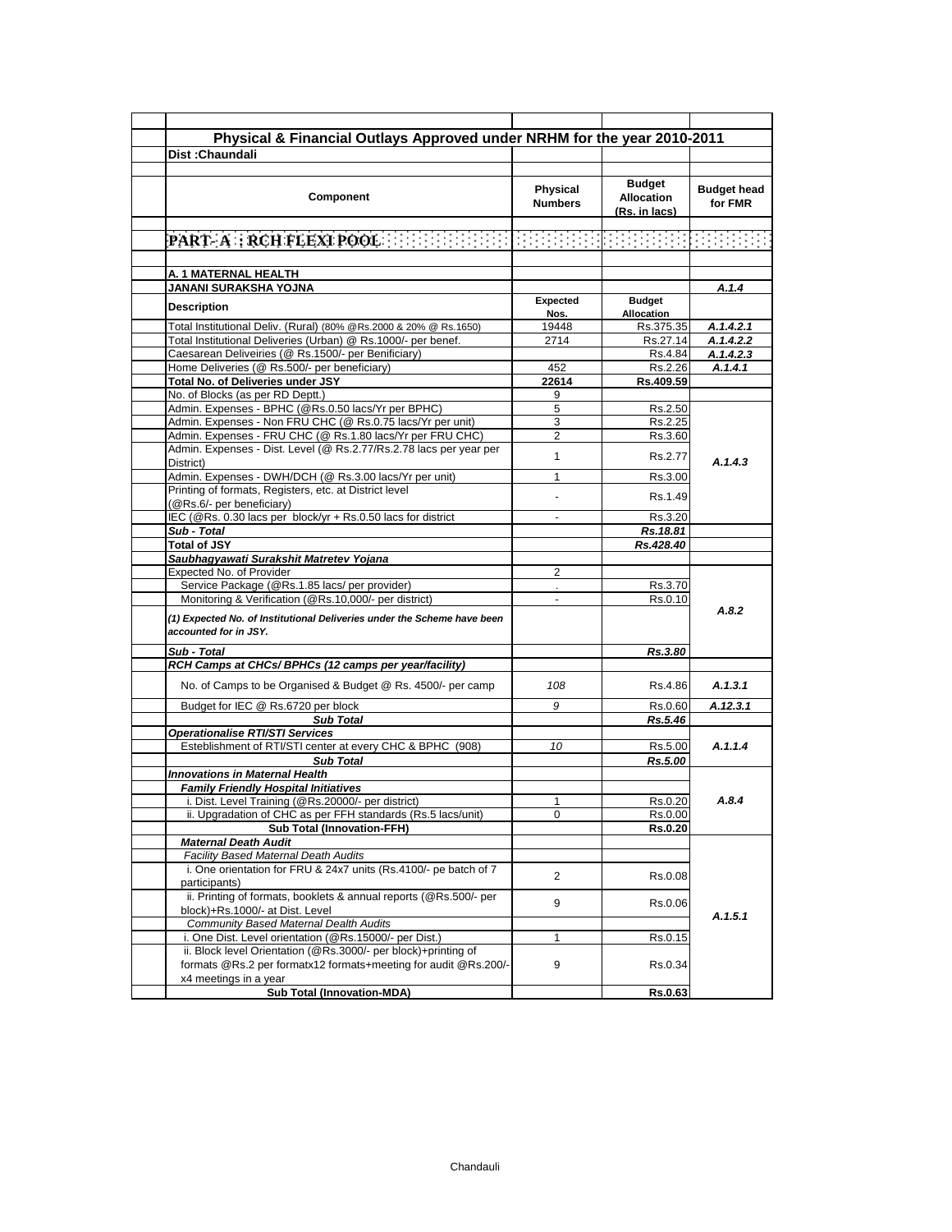| Physical & Financial Outlays Approved under NRHM for the year 2010-2011<br><b>Dist: Chaundali</b>                                                                                                                                                                                                                                                                                                                                                                                          |                                   |                                              |                               |
|--------------------------------------------------------------------------------------------------------------------------------------------------------------------------------------------------------------------------------------------------------------------------------------------------------------------------------------------------------------------------------------------------------------------------------------------------------------------------------------------|-----------------------------------|----------------------------------------------|-------------------------------|
|                                                                                                                                                                                                                                                                                                                                                                                                                                                                                            |                                   |                                              |                               |
| Component                                                                                                                                                                                                                                                                                                                                                                                                                                                                                  | <b>Physical</b><br><b>Numbers</b> | Budget<br><b>Allocation</b><br>(Rs. in lacs) | <b>Budget head</b><br>for FMR |
| $\mathbf{PART}: \mathbf{A} \times \mathbf{RCH}$ FLEXT POOL $\mathbb{R} \times \mathbb{R} \times \mathbb{R} \times \mathbb{R} \times \mathbb{R} \times \mathbb{R} \times \mathbb{R} \times \mathbb{R} \times \mathbb{R} \times \mathbb{R} \times \mathbb{R} \times \mathbb{R} \times \mathbb{R} \times \mathbb{R} \times \mathbb{R} \times \mathbb{R} \times \mathbb{R} \times \mathbb{R} \times \mathbb{R} \times \mathbb{R} \times \mathbb{R} \times \mathbb{R} \times \mathbb{R} \times$ |                                   |                                              |                               |
|                                                                                                                                                                                                                                                                                                                                                                                                                                                                                            |                                   |                                              |                               |
| A. 1 MATERNAL HEALTH                                                                                                                                                                                                                                                                                                                                                                                                                                                                       |                                   |                                              |                               |
| JANANI SURAKSHA YOJNA                                                                                                                                                                                                                                                                                                                                                                                                                                                                      |                                   |                                              | A.1.4                         |
| <b>Description</b>                                                                                                                                                                                                                                                                                                                                                                                                                                                                         | Expected<br>Nos.                  | <b>Budget</b><br><b>Allocation</b>           |                               |
| Total Institutional Deliv. (Rural) (80% @Rs.2000 & 20% @ Rs.1650)                                                                                                                                                                                                                                                                                                                                                                                                                          | 19448                             | Rs.375.35                                    | A.1.4.2.1                     |
| Total Institutional Deliveries (Urban) @ Rs.1000/- per benef.                                                                                                                                                                                                                                                                                                                                                                                                                              | 2714                              | Rs.27.14                                     | A.1.4.2.2                     |
| Caesarean Deliveiries (@ Rs.1500/- per Benificiary)                                                                                                                                                                                                                                                                                                                                                                                                                                        |                                   | Rs.4.84                                      | A.1.4.2.3                     |
| Home Deliveries (@ Rs.500/- per beneficiary)                                                                                                                                                                                                                                                                                                                                                                                                                                               | 452                               | Rs.2.26                                      | A.1.4.1                       |
| Total No. of Deliveries under JSY                                                                                                                                                                                                                                                                                                                                                                                                                                                          | 22614                             | Rs.409.59                                    |                               |
| No. of Blocks (as per RD Deptt.)                                                                                                                                                                                                                                                                                                                                                                                                                                                           | 9                                 |                                              |                               |
| Admin. Expenses - BPHC (@Rs.0.50 lacs/Yr per BPHC)                                                                                                                                                                                                                                                                                                                                                                                                                                         | 5                                 | Rs.2.50                                      |                               |
| Admin. Expenses - Non FRU CHC (@ Rs.0.75 lacs/Yr per unit)                                                                                                                                                                                                                                                                                                                                                                                                                                 | 3                                 | Rs.2.25                                      |                               |
| Admin. Expenses - FRU CHC (@ Rs.1.80 lacs/Yr per FRU CHC)                                                                                                                                                                                                                                                                                                                                                                                                                                  | $\overline{2}$                    | Rs.3.60                                      |                               |
| Admin. Expenses - Dist. Level (@ Rs.2.77/Rs.2.78 lacs per year per<br>District)                                                                                                                                                                                                                                                                                                                                                                                                            | 1                                 | Rs.2.77                                      | A.1.4.3                       |
| Admin. Expenses - DWH/DCH (@ Rs.3.00 lacs/Yr per unit)                                                                                                                                                                                                                                                                                                                                                                                                                                     | 1                                 | Rs.3.00                                      |                               |
| Printing of formats, Registers, etc. at District level<br>(@Rs.6/- per beneficiary)                                                                                                                                                                                                                                                                                                                                                                                                        |                                   | Rs. 1.49                                     |                               |
| IEC (@Rs. 0.30 lacs per block/yr + Rs.0.50 lacs for district                                                                                                                                                                                                                                                                                                                                                                                                                               | ÷                                 | Rs.3.20                                      |                               |
| Sub - Total                                                                                                                                                                                                                                                                                                                                                                                                                                                                                |                                   | Rs.18.81                                     |                               |
| <b>Total of JSY</b>                                                                                                                                                                                                                                                                                                                                                                                                                                                                        |                                   | Rs.428.40                                    |                               |
| Saubhagyawati Surakshit Matretev Yojana                                                                                                                                                                                                                                                                                                                                                                                                                                                    |                                   |                                              |                               |
| Expected No. of Provider                                                                                                                                                                                                                                                                                                                                                                                                                                                                   | 2                                 |                                              |                               |
| Service Package (@Rs.1.85 lacs/ per provider)                                                                                                                                                                                                                                                                                                                                                                                                                                              |                                   | Rs.3.70                                      |                               |
| Monitoring & Verification (@Rs.10,000/- per district)                                                                                                                                                                                                                                                                                                                                                                                                                                      | $\overline{a}$                    | Rs.0.10                                      | A.8.2                         |
| (1) Expected No. of Institutional Deliveries under the Scheme have been<br>accounted for in JSY.                                                                                                                                                                                                                                                                                                                                                                                           |                                   |                                              |                               |
| Sub - Total                                                                                                                                                                                                                                                                                                                                                                                                                                                                                |                                   | Rs.3.80                                      |                               |
| RCH Camps at CHCs/ BPHCs (12 camps per year/facility)                                                                                                                                                                                                                                                                                                                                                                                                                                      |                                   |                                              |                               |
| No. of Camps to be Organised & Budget @ Rs. 4500/- per camp                                                                                                                                                                                                                                                                                                                                                                                                                                | 108                               | Rs.4.86                                      | A.1.3.1                       |
| Budget for IEC @ Rs.6720 per block                                                                                                                                                                                                                                                                                                                                                                                                                                                         | 9                                 | Rs 0.60                                      | A.12.3.1                      |
| <b>Sub Total</b>                                                                                                                                                                                                                                                                                                                                                                                                                                                                           |                                   | Rs.5.46                                      |                               |
| <b>Operationalise RTI/STI Services</b>                                                                                                                                                                                                                                                                                                                                                                                                                                                     |                                   |                                              |                               |
| Esteblishment of RTI/STI center at every CHC & BPHC (908)                                                                                                                                                                                                                                                                                                                                                                                                                                  | 10                                | Rs.5.00                                      | A.1.1.4                       |
| <b>Sub Total</b>                                                                                                                                                                                                                                                                                                                                                                                                                                                                           |                                   | Rs.5.00                                      |                               |
| <b>Innovations in Maternal Health</b>                                                                                                                                                                                                                                                                                                                                                                                                                                                      |                                   |                                              |                               |
| <b>Family Friendly Hospital Initiatives</b>                                                                                                                                                                                                                                                                                                                                                                                                                                                |                                   |                                              |                               |
| i. Dist. Level Training (@Rs.20000/- per district)                                                                                                                                                                                                                                                                                                                                                                                                                                         | 1                                 | Rs.0.20                                      | A.8.4                         |
| ii. Upgradation of CHC as per FFH standards (Rs.5 lacs/unit)                                                                                                                                                                                                                                                                                                                                                                                                                               | 0                                 | Rs.0.00                                      |                               |
| <b>Sub Total (Innovation-FFH)</b>                                                                                                                                                                                                                                                                                                                                                                                                                                                          |                                   | <b>Rs.0.20</b>                               |                               |
| <b>Maternal Death Audit</b>                                                                                                                                                                                                                                                                                                                                                                                                                                                                |                                   |                                              |                               |
| <b>Facility Based Maternal Death Audits</b>                                                                                                                                                                                                                                                                                                                                                                                                                                                |                                   |                                              |                               |
| i. One orientation for FRU & 24x7 units (Rs.4100/- pe batch of 7<br>participants)                                                                                                                                                                                                                                                                                                                                                                                                          | 2                                 | Rs.0.08                                      |                               |
| ii. Printing of formats, booklets & annual reports (@Rs.500/- per<br>block)+Rs.1000/- at Dist. Level                                                                                                                                                                                                                                                                                                                                                                                       | 9                                 | Rs.0.06                                      | A.1.5.1                       |
| Community Based Maternal Dealth Audits                                                                                                                                                                                                                                                                                                                                                                                                                                                     |                                   |                                              |                               |
| i. One Dist. Level orientation (@Rs.15000/- per Dist.)                                                                                                                                                                                                                                                                                                                                                                                                                                     | 1                                 | Rs.0.15                                      |                               |
| ii. Block level Orientation (@Rs.3000/- per block)+printing of                                                                                                                                                                                                                                                                                                                                                                                                                             |                                   |                                              |                               |
| formats @Rs.2 per formatx12 formats+meeting for audit @Rs.200/-<br>x4 meetings in a year                                                                                                                                                                                                                                                                                                                                                                                                   | 9                                 | Rs.0.34                                      |                               |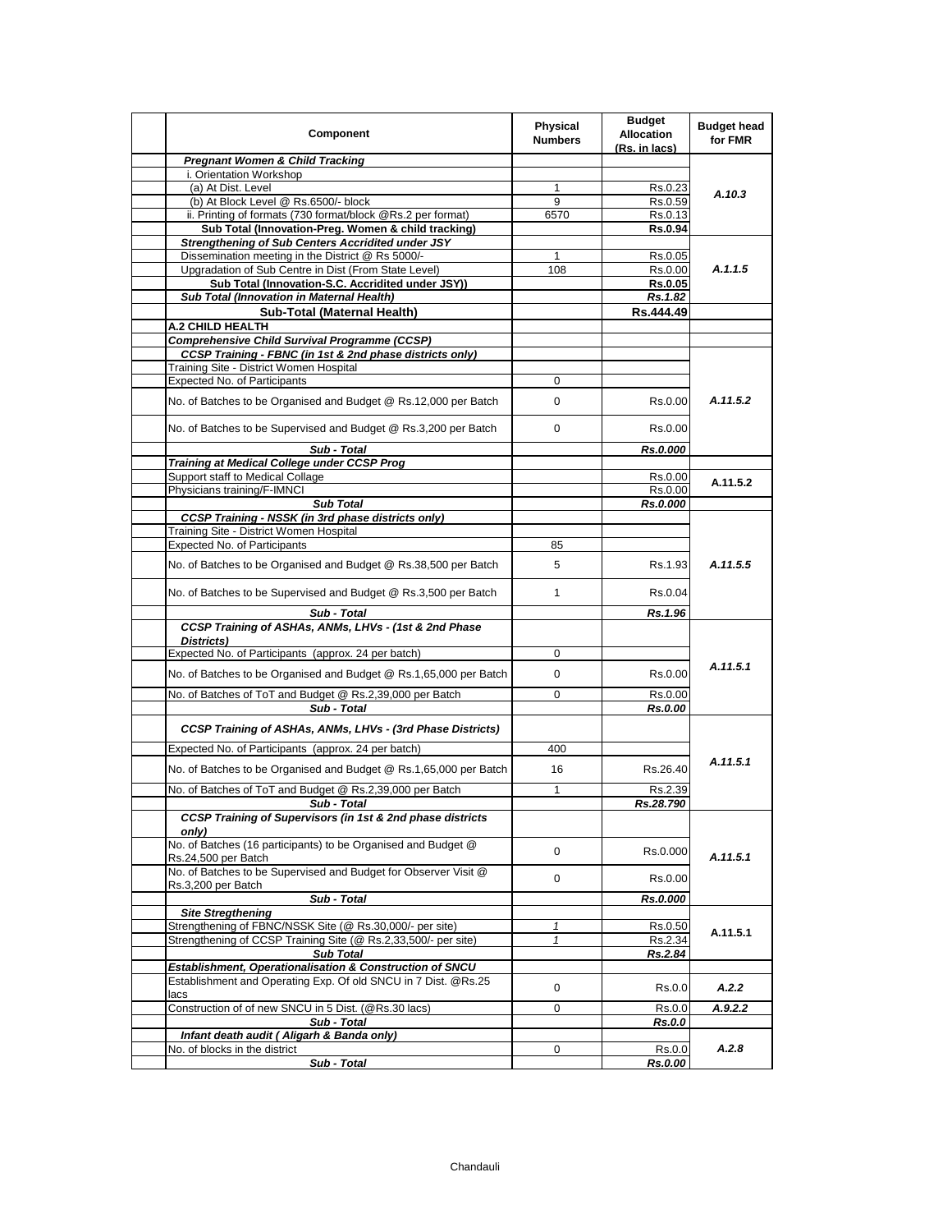| Component                                                                                                     | <b>Physical</b><br><b>Numbers</b> | <b>Budget</b><br><b>Allocation</b><br>(Rs. in lacs) | <b>Budget head</b><br>for FMR |
|---------------------------------------------------------------------------------------------------------------|-----------------------------------|-----------------------------------------------------|-------------------------------|
| <b>Pregnant Women &amp; Child Tracking</b>                                                                    |                                   |                                                     |                               |
| i. Orientation Workshop                                                                                       |                                   |                                                     |                               |
| (a) At Dist. Level                                                                                            | 1                                 | Rs.0.23                                             | A.10.3                        |
| (b) At Block Level @ Rs.6500/- block                                                                          | 9                                 | Rs.0.59                                             |                               |
| ii. Printing of formats (730 format/block @Rs.2 per format)                                                   | 6570                              | Rs.0.13                                             |                               |
| Sub Total (Innovation-Preg. Women & child tracking)                                                           |                                   | <b>Rs.0.94</b>                                      |                               |
| <b>Strengthening of Sub Centers Accridited under JSY</b><br>Dissemination meeting in the District @ Rs 5000/- |                                   |                                                     |                               |
| Upgradation of Sub Centre in Dist (From State Level)                                                          | 1<br>108                          | Rs.0.05<br>Rs.0.00                                  | A.1.1.5                       |
| Sub Total (Innovation-S.C. Accridited under JSY))                                                             |                                   | Rs.0.05                                             |                               |
| Sub Total (Innovation in Maternal Health)                                                                     |                                   | Rs.1.82                                             |                               |
| Sub-Total (Maternal Health)                                                                                   |                                   | Rs.444.49                                           |                               |
| A.2 CHILD HEALTH                                                                                              |                                   |                                                     |                               |
| <b>Comprehensive Child Survival Programme (CCSP)</b>                                                          |                                   |                                                     |                               |
| <b>CCSP Training - FBNC (in 1st &amp; 2nd phase districts only)</b>                                           |                                   |                                                     |                               |
| Training Site - District Women Hospital                                                                       |                                   |                                                     |                               |
| Expected No. of Participants                                                                                  | 0                                 |                                                     |                               |
| No. of Batches to be Organised and Budget @ Rs.12,000 per Batch                                               | 0                                 | Rs.0.00                                             | A.11.5.2                      |
| No. of Batches to be Supervised and Budget @ Rs.3,200 per Batch                                               | 0                                 | Rs 0.00                                             |                               |
| Sub - Total                                                                                                   |                                   | Rs.0.000                                            |                               |
| Training at Medical College under CCSP Prog                                                                   |                                   |                                                     |                               |
| Support staff to Medical Collage                                                                              |                                   | Rs.0.00                                             | A.11.5.2                      |
| Physicians training/F-IMNCI                                                                                   |                                   | Rs.0.00                                             |                               |
| <b>Sub Total</b>                                                                                              |                                   | Rs.0.000                                            |                               |
| <b>CCSP Training - NSSK (in 3rd phase districts only)</b>                                                     |                                   |                                                     |                               |
| Training Site - District Women Hospital                                                                       |                                   |                                                     |                               |
| <b>Expected No. of Participants</b>                                                                           | 85                                |                                                     | A.11.5.5                      |
| No. of Batches to be Organised and Budget @ Rs.38,500 per Batch                                               | 5                                 | Rs 1.93                                             |                               |
| No. of Batches to be Supervised and Budget @ Rs.3,500 per Batch                                               | $\mathbf{1}$                      | Rs.0.04                                             |                               |
| Sub - Total                                                                                                   |                                   | Rs.1.96                                             |                               |
| CCSP Training of ASHAs, ANMs, LHVs - (1st & 2nd Phase<br>Districts)                                           |                                   |                                                     |                               |
| Expected No. of Participants (approx. 24 per batch)                                                           | 0                                 |                                                     |                               |
| No. of Batches to be Organised and Budget @ Rs.1,65,000 per Batch                                             | 0                                 | Rs.0.00                                             | A.11.5.1                      |
| No. of Batches of ToT and Budget @ Rs.2,39,000 per Batch                                                      | 0                                 | Rs.0.00                                             |                               |
| Sub - Total                                                                                                   |                                   | Rs.0.00                                             |                               |
| <b>CCSP Training of ASHAs, ANMs, LHVs - (3rd Phase Districts)</b>                                             |                                   |                                                     |                               |
| Expected No. of Participants (approx. 24 per batch)                                                           | 400                               |                                                     |                               |
| No. of Batches to be Organised and Budget @ Rs.1,65,000 per Batch                                             | 16                                | Rs.26.40                                            | A.11.5.1                      |
| No. of Batches of ToT and Budget @ Rs.2,39,000 per Batch                                                      | 1                                 | Rs.2.39                                             |                               |
| Sub - Total                                                                                                   |                                   | Rs.28.790                                           |                               |
| CCSP Training of Supervisors (in 1st & 2nd phase districts<br>only)                                           |                                   |                                                     |                               |
| No. of Batches (16 participants) to be Organised and Budget @<br>Rs.24,500 per Batch                          | 0                                 | Rs.0.000                                            | A.11.5.1                      |
| No. of Batches to be Supervised and Budget for Observer Visit @<br>Rs.3,200 per Batch                         | 0                                 | Rs.0.00                                             |                               |
| Sub - Total                                                                                                   |                                   | Rs.0.000                                            |                               |
| <b>Site Stregthening</b>                                                                                      |                                   |                                                     |                               |
| Strengthening of FBNC/NSSK Site (@ Rs.30,000/- per site)                                                      | $\mathbf{1}$                      | Rs.0.50                                             |                               |
| Strengthening of CCSP Training Site (@ Rs.2,33,500/- per site)                                                | $\mathbf{1}$                      | Rs.2.34                                             | A.11.5.1                      |
| <b>Sub Total</b>                                                                                              |                                   | Rs.2.84                                             |                               |
| Establishment, Operationalisation & Construction of SNCU                                                      |                                   |                                                     |                               |
| Establishment and Operating Exp. Of old SNCU in 7 Dist. @Rs.25<br>lacs                                        | 0                                 | Rs.0.0                                              | A.2.2                         |
| Construction of of new SNCU in 5 Dist. (@Rs.30 lacs)                                                          | 0                                 | Rs.0.0                                              | A.9.2.2                       |
| Sub - Total                                                                                                   |                                   | Rs.0.0                                              |                               |
| Infant death audit ( Aligarh & Banda only)                                                                    |                                   |                                                     |                               |
| No. of blocks in the district                                                                                 | 0                                 | Rs.0.0                                              | A.2.8                         |
| Sub - Total                                                                                                   |                                   | Rs.0.00                                             |                               |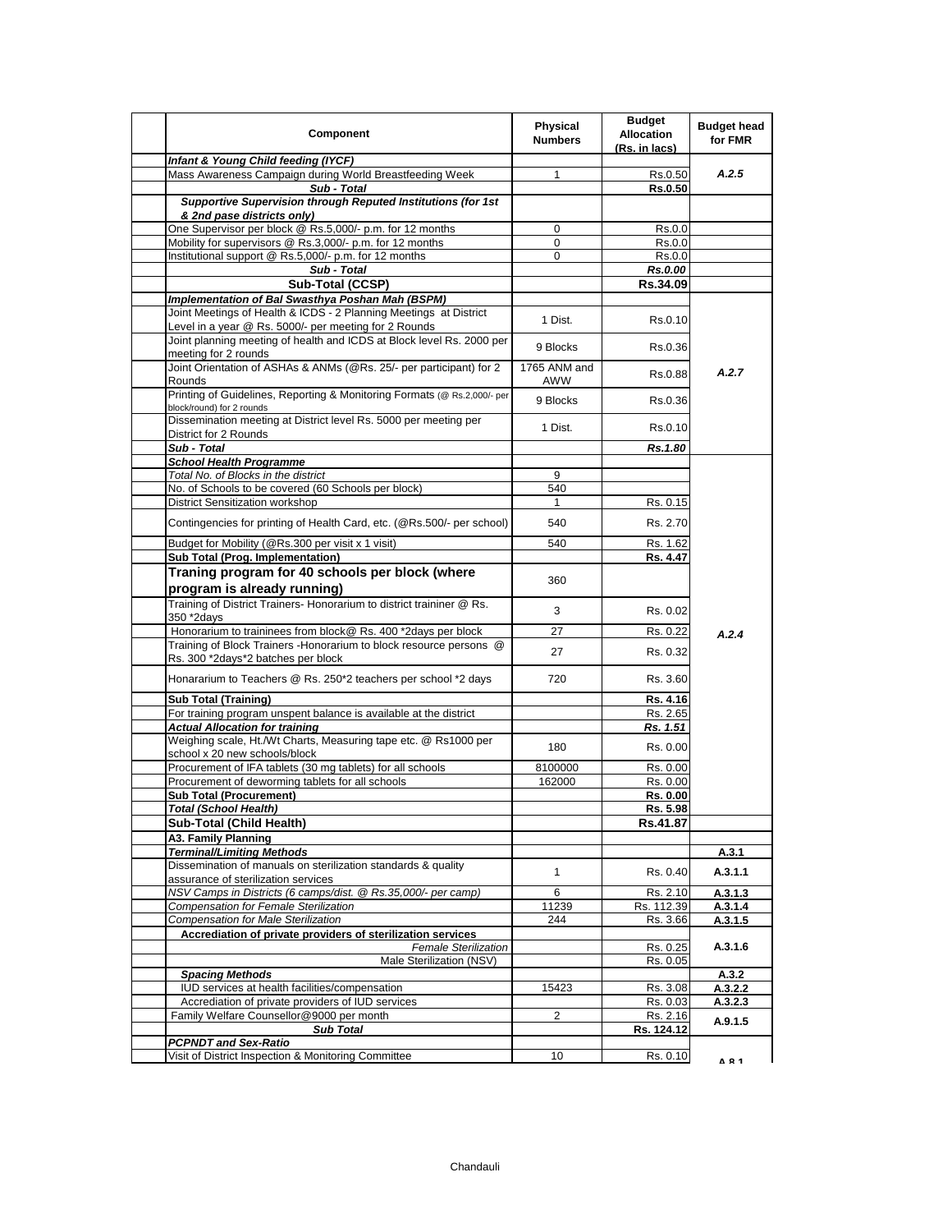| Component                                                                                             | <b>Physical</b><br><b>Numbers</b> | <b>Budget</b><br><b>Allocation</b><br>(Rs. in lacs) | <b>Budget head</b><br>for FMR |
|-------------------------------------------------------------------------------------------------------|-----------------------------------|-----------------------------------------------------|-------------------------------|
| Infant & Young Child feeding (IYCF)                                                                   |                                   |                                                     |                               |
| Mass Awareness Campaign during World Breastfeeding Week<br>Sub - Total                                | $\mathbf{1}$                      | Rs.0.50<br>Rs.0.50                                  | A.2.5                         |
| Supportive Supervision through Reputed Institutions (for 1st                                          |                                   |                                                     |                               |
| & 2nd pase districts only)                                                                            |                                   |                                                     |                               |
| One Supervisor per block @ Rs.5,000/- p.m. for 12 months                                              | 0                                 | Rs.0.0                                              |                               |
| Mobility for supervisors @ Rs.3,000/- p.m. for 12 months                                              | 0                                 | Rs.0.0                                              |                               |
| Institutional support @ Rs.5,000/- p.m. for 12 months                                                 | $\Omega$                          | Rs.0.0                                              |                               |
| Sub - Total                                                                                           |                                   | Rs.0.00                                             |                               |
| Sub-Total (CCSP)                                                                                      |                                   | Rs.34.09                                            |                               |
| Implementation of Bal Swasthya Poshan Mah (BSPM)                                                      |                                   |                                                     |                               |
| Joint Meetings of Health & ICDS - 2 Planning Meetings at District                                     | 1 Dist.                           | Rs 0.10                                             |                               |
| Level in a year @ Rs. 5000/- per meeting for 2 Rounds                                                 |                                   |                                                     |                               |
| Joint planning meeting of health and ICDS at Block level Rs. 2000 per<br>meeting for 2 rounds         | 9 Blocks                          | Rs 0.36                                             |                               |
| Joint Orientation of ASHAs & ANMs (@Rs. 25/- per participant) for 2                                   |                                   |                                                     |                               |
| Rounds                                                                                                | 1765 ANM and<br>AWW               | Rs.0.88                                             | A.2.7                         |
| Printing of Guidelines, Reporting & Monitoring Formats (@ Rs.2,000/- per<br>block/round) for 2 rounds | 9 Blocks                          | Rs.0.36                                             |                               |
| Dissemination meeting at District level Rs. 5000 per meeting per                                      | 1 Dist.                           | Rs.0.10                                             |                               |
| District for 2 Rounds                                                                                 |                                   |                                                     |                               |
| Sub - Total                                                                                           |                                   | Rs.1.80                                             |                               |
| <b>School Health Programme</b>                                                                        |                                   |                                                     |                               |
| Total No. of Blocks in the district                                                                   | 9                                 |                                                     |                               |
| No. of Schools to be covered (60 Schools per block)                                                   | 540                               |                                                     |                               |
| District Sensitization workshop                                                                       | 1                                 | Rs. 0.15                                            |                               |
| Contingencies for printing of Health Card, etc. (@Rs.500/- per school)                                | 540                               | Rs. 2.70                                            |                               |
| Budget for Mobility (@Rs.300 per visit x 1 visit)<br>Sub Total (Prog. Implementation)                 | 540                               | Rs. 1.62<br>Rs. 4.47                                |                               |
|                                                                                                       |                                   |                                                     |                               |
| Traning program for 40 schools per block (where<br>program is already running)                        | 360                               |                                                     |                               |
| Training of District Trainers- Honorarium to district traininer @ Rs.<br>350 *2days                   | 3                                 | Rs 0.02                                             |                               |
| Honorarium to traininees from block@ Rs. 400 *2days per block                                         | 27                                | Rs. 0.22                                            |                               |
| Training of Block Trainers - Honorarium to block resource persons @                                   |                                   |                                                     | A.2.4                         |
| Rs. 300 *2days*2 batches per block                                                                    | 27                                | Rs. 0.32                                            |                               |
| Honararium to Teachers @ Rs. 250*2 teachers per school *2 days                                        | 720                               | Rs. 3.60                                            |                               |
| <b>Sub Total (Training)</b>                                                                           |                                   | Rs. 4.16                                            |                               |
| For training program unspent balance is available at the district                                     |                                   | Rs. 2.65                                            |                               |
| <b>Actual Allocation for training</b>                                                                 |                                   | Rs. 1.51                                            |                               |
| Weighing scale, Ht./Wt Charts, Measuring tape etc. @ Rs1000 per<br>school x 20 new schools/block      | 180                               | Rs. 0.00                                            |                               |
| Procurement of IFA tablets (30 mg tablets) for all schools                                            | 8100000                           | Rs. 0.00                                            |                               |
| Procurement of deworming tablets for all schools                                                      | 162000                            | Rs. 0.00                                            |                               |
| <b>Sub Total (Procurement)</b>                                                                        |                                   | Rs. 0.00                                            |                               |
| <b>Total (School Health)</b>                                                                          |                                   | Rs. 5.98                                            |                               |
| Sub-Total (Child Health)                                                                              |                                   |                                                     |                               |
| <b>A3. Family Planning</b>                                                                            |                                   | Rs.41.87                                            |                               |
|                                                                                                       |                                   |                                                     |                               |
| <b>Terminal/Limiting Methods</b>                                                                      |                                   |                                                     | A.3.1                         |
| Dissemination of manuals on sterilization standards & quality<br>assurance of sterilization services  | $\mathbf{1}$                      | Rs. 0.40                                            | A.3.1.1                       |
| NSV Camps in Districts (6 camps/dist. @ Rs.35,000/- per camp)                                         | 6                                 | Rs. 2.10                                            | A.3.1.3                       |
| Compensation for Female Sterilization                                                                 | 11239                             | Rs. 112.39                                          | A.3.1.4                       |
| <b>Compensation for Male Sterilization</b>                                                            | 244                               | Rs. 3.66                                            | A.3.1.5                       |
| Accrediation of private providers of sterilization services                                           |                                   |                                                     |                               |
| <b>Female Sterilization</b>                                                                           |                                   | Rs. 0.25                                            | A.3.1.6                       |
| Male Sterilization (NSV)                                                                              |                                   | Rs. 0.05                                            |                               |
| <b>Spacing Methods</b>                                                                                |                                   |                                                     | A.3.2                         |
| IUD services at health facilities/compensation                                                        | 15423                             | Rs. 3.08                                            | A.3.2.2                       |
| Accrediation of private providers of IUD services                                                     |                                   | Rs. 0.03                                            | A.3.2.3                       |
| Family Welfare Counsellor@9000 per month                                                              | 2                                 | Rs. 2.16                                            | A.9.1.5                       |
| <b>Sub Total</b>                                                                                      |                                   | Rs. 124.12                                          |                               |
| <b>PCPNDT and Sex-Ratio</b>                                                                           |                                   |                                                     |                               |
| Visit of District Inspection & Monitoring Committee                                                   | 10                                | Rs. 0.10                                            | A R 1                         |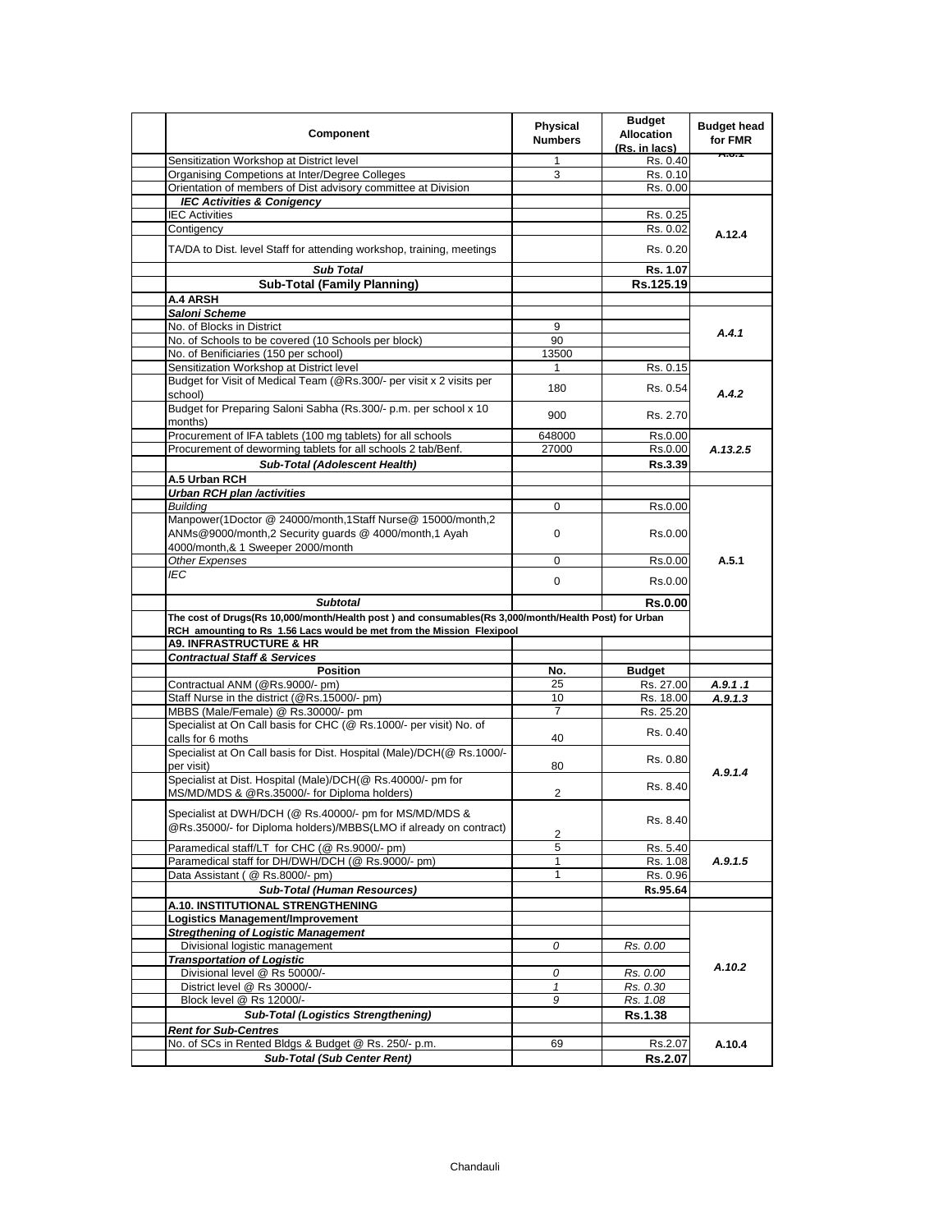| Component                                                                                                                                                                     | Physical<br><b>Numbers</b> | <b>Budget</b><br><b>Allocation</b><br>(Rs. in lacs) | <b>Budget head</b><br>for FMR |
|-------------------------------------------------------------------------------------------------------------------------------------------------------------------------------|----------------------------|-----------------------------------------------------|-------------------------------|
| Sensitization Workshop at District level                                                                                                                                      | 1                          | Rs. 0.40                                            | <b>A.U.T</b>                  |
| Organising Competions at Inter/Degree Colleges                                                                                                                                | 3                          | Rs. 0.10                                            |                               |
| Orientation of members of Dist advisory committee at Division                                                                                                                 |                            | Rs. 0.00                                            |                               |
| <b>IEC Activities &amp; Conigency</b>                                                                                                                                         |                            |                                                     |                               |
| <b>IEC Activities</b>                                                                                                                                                         |                            | Rs. 0.25                                            |                               |
| Contigency                                                                                                                                                                    |                            | Rs. 0.02                                            | A.12.4                        |
| TA/DA to Dist. level Staff for attending workshop, training, meetings                                                                                                         |                            | Rs. 0.20                                            |                               |
| <b>Sub Total</b>                                                                                                                                                              |                            | Rs. 1.07                                            |                               |
| <b>Sub-Total (Family Planning)</b>                                                                                                                                            |                            | Rs.125.19                                           |                               |
| A.4 ARSH                                                                                                                                                                      |                            |                                                     |                               |
| Saloni Scheme                                                                                                                                                                 |                            |                                                     |                               |
| No. of Blocks in District                                                                                                                                                     | 9                          |                                                     |                               |
| No. of Schools to be covered (10 Schools per block)                                                                                                                           | 90                         |                                                     | A.4.1                         |
| No. of Benificiaries (150 per school)                                                                                                                                         | 13500                      |                                                     |                               |
| Sensitization Workshop at District level                                                                                                                                      | $\mathbf{1}$               | Rs. 0.15                                            |                               |
| Budget for Visit of Medical Team (@Rs.300/- per visit x 2 visits per<br>school)                                                                                               | 180                        | Rs. 0.54                                            | A.4.2                         |
| Budget for Preparing Saloni Sabha (Rs.300/- p.m. per school x 10<br>months)                                                                                                   | 900                        | Rs. 2.70                                            |                               |
| Procurement of IFA tablets (100 mg tablets) for all schools                                                                                                                   | 648000                     | Rs.0.00                                             |                               |
|                                                                                                                                                                               |                            |                                                     |                               |
| Procurement of deworming tablets for all schools 2 tab/Benf.                                                                                                                  | 27000                      | Rs.0.00                                             | A.13.2.5                      |
| Sub-Total (Adolescent Health)                                                                                                                                                 |                            | Rs.3.39                                             |                               |
| A.5 Urban RCH                                                                                                                                                                 |                            |                                                     |                               |
| <b>Urban RCH plan /activities</b>                                                                                                                                             |                            |                                                     |                               |
| Building                                                                                                                                                                      | 0                          | Rs.0.00                                             |                               |
| Manpower(1Doctor @ 24000/month,1Staff Nurse@ 15000/month,2<br>ANMs@9000/month,2 Security guards @ 4000/month,1 Ayah                                                           | 0                          | Rs.0.00                                             |                               |
| 4000/month,& 1 Sweeper 2000/month                                                                                                                                             |                            |                                                     | A.5.1                         |
| Other Expenses                                                                                                                                                                | 0                          | Rs.0.00                                             |                               |
| IEC                                                                                                                                                                           | $\mathbf{0}$               | Rs.0.00                                             |                               |
| <b>Subtotal</b>                                                                                                                                                               |                            | <b>Rs.0.00</b>                                      |                               |
| The cost of Drugs(Rs 10,000/month/Health post) and consumables(Rs 3,000/month/Health Post) for Urban<br>RCH amounting to Rs 1.56 Lacs would be met from the Mission Flexipool |                            |                                                     |                               |
| <b>A9. INFRASTRUCTURE &amp; HR</b>                                                                                                                                            |                            |                                                     |                               |
| <b>Contractual Staff &amp; Services</b>                                                                                                                                       |                            |                                                     |                               |
| <b>Position</b>                                                                                                                                                               | No.                        | <b>Budget</b>                                       |                               |
| Contractual ANM (@Rs.9000/- pm)                                                                                                                                               | 25                         | Rs. 27.00                                           | A.9.1.1                       |
| Staff Nurse in the district (@Rs.15000/- pm)                                                                                                                                  | 10                         | Rs. 18.00                                           | A.9.1.3                       |
| MBBS (Male/Female) @ Rs.30000/- pm                                                                                                                                            | $\overline{7}$             | Rs. 25.20                                           |                               |
| Specialist at On Call basis for CHC (@ Rs.1000/- per visit) No. of                                                                                                            |                            | Rs. 0.40                                            |                               |
| calls for 6 moths<br>Specialist at On Call basis for Dist. Hospital (Male)/DCH(@ Rs.1000/-                                                                                    | 40                         |                                                     |                               |
| per visit)                                                                                                                                                                    | 80                         | Rs. 0.80                                            | A.9.1.4                       |
| Specialist at Dist. Hospital (Male)/DCH(@ Rs.40000/- pm for<br>MS/MD/MDS & @Rs.35000/- for Diploma holders)                                                                   | 2                          | Rs. 8.40                                            |                               |
| Specialist at DWH/DCH (@ Rs.40000/- pm for MS/MD/MDS &<br>@Rs.35000/- for Diploma holders)/MBBS(LMO if already on contract)                                                   | 2                          | Rs. 8.40                                            |                               |
| Paramedical staff/LT for CHC (@ Rs.9000/- pm)                                                                                                                                 | 5                          | Rs. 5.40                                            |                               |
| Paramedical staff for DH/DWH/DCH (@ Rs.9000/- pm)                                                                                                                             | 1                          | Rs. 1.08                                            | A.9.1.5                       |
| Data Assistant ( @ Rs.8000/- pm)                                                                                                                                              | 1                          | Rs. 0.96                                            |                               |
| Sub-Total (Human Resources)                                                                                                                                                   |                            | Rs.95.64                                            |                               |
| A.10. INSTITUTIONAL STRENGTHENING                                                                                                                                             |                            |                                                     |                               |
| Logistics Management/Improvement                                                                                                                                              |                            |                                                     |                               |
| <b>Stregthening of Logistic Management</b>                                                                                                                                    |                            |                                                     |                               |
|                                                                                                                                                                               |                            |                                                     |                               |
| Divisional logistic management                                                                                                                                                | 0                          | Rs. 0.00                                            |                               |
| <b>Transportation of Logistic</b><br>Divisional level @ Rs 50000/-                                                                                                            |                            |                                                     | A.10.2                        |
| District level @ Rs 30000/-                                                                                                                                                   | 0<br>1                     | Rs. 0.00<br>Rs. 0.30                                |                               |
|                                                                                                                                                                               |                            |                                                     |                               |
| Block level @ Rs 12000/-                                                                                                                                                      | 9                          | Rs. 1.08                                            |                               |
| <b>Sub-Total (Logistics Strengthening)</b>                                                                                                                                    |                            | <b>Rs.1.38</b>                                      |                               |
| <b>Rent for Sub-Centres</b>                                                                                                                                                   |                            |                                                     |                               |
| No. of SCs in Rented Bldgs & Budget @ Rs. 250/- p.m.                                                                                                                          | 69                         | Rs.2.07                                             | A.10.4                        |
| <b>Sub-Total (Sub Center Rent)</b>                                                                                                                                            |                            | Rs.2.07                                             |                               |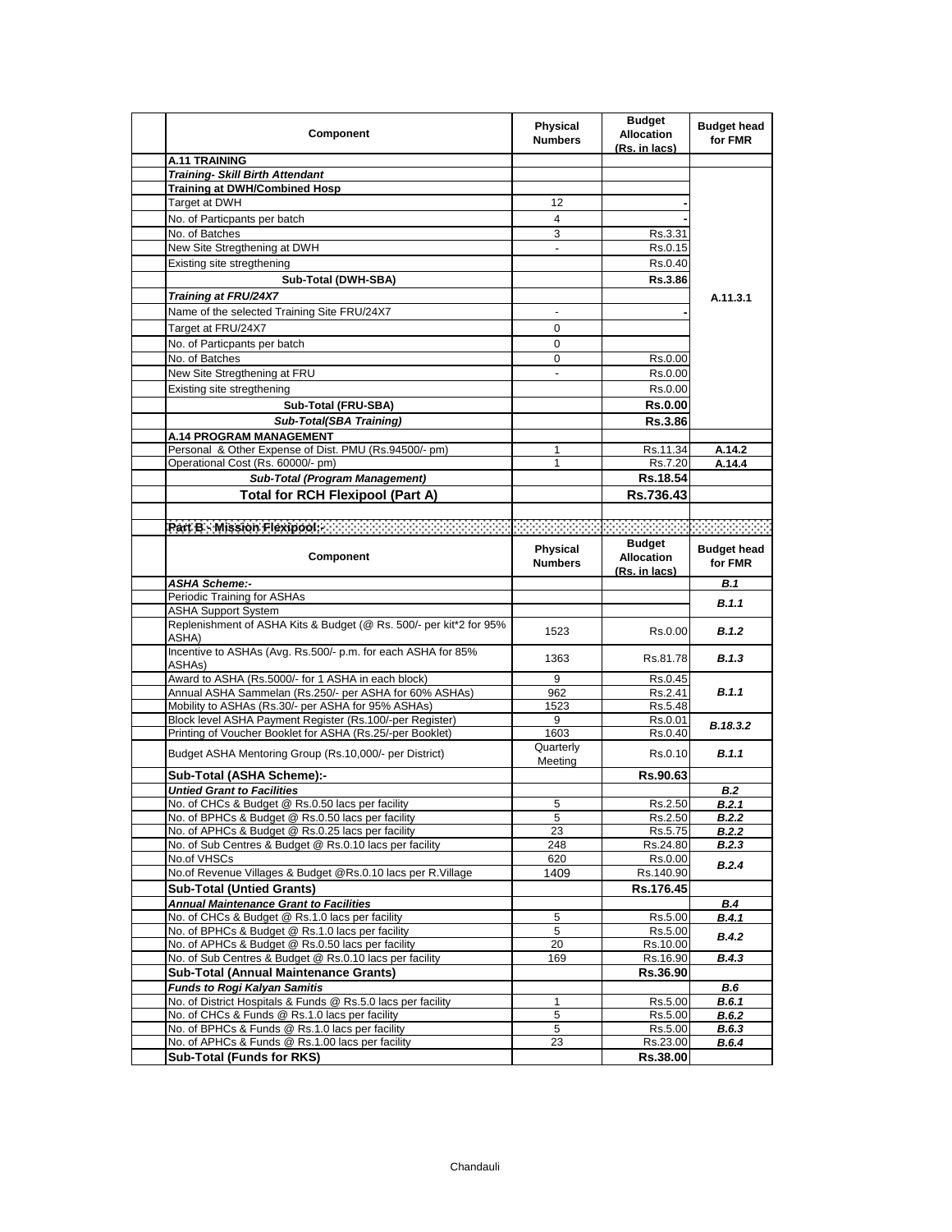| Component                                                                                                    | Physical<br><b>Numbers</b> | <b>Budget</b><br><b>Allocation</b><br>(Rs. in lacs) | <b>Budget head</b><br>for FMR |
|--------------------------------------------------------------------------------------------------------------|----------------------------|-----------------------------------------------------|-------------------------------|
| <b>A.11 TRAINING</b>                                                                                         |                            |                                                     |                               |
| <b>Training- Skill Birth Attendant</b>                                                                       |                            |                                                     |                               |
| <b>Training at DWH/Combined Hosp</b>                                                                         |                            |                                                     |                               |
| Target at DWH                                                                                                | 12                         |                                                     |                               |
| No. of Particpants per batch                                                                                 | $\overline{4}$             |                                                     |                               |
| No. of Batches                                                                                               | 3                          | Rs.3.31                                             |                               |
| New Site Stregthening at DWH                                                                                 |                            | Rs.0.15                                             |                               |
| Existing site stregthening                                                                                   |                            | Rs.0.40                                             |                               |
| Sub-Total (DWH-SBA)                                                                                          |                            | <b>Rs.3.86</b>                                      |                               |
| Training at FRU/24X7                                                                                         |                            |                                                     | A.11.3.1                      |
| Name of the selected Training Site FRU/24X7                                                                  | $\overline{\phantom{a}}$   |                                                     |                               |
| Target at FRU/24X7                                                                                           | 0                          |                                                     |                               |
|                                                                                                              | 0                          |                                                     |                               |
| No. of Particpants per batch<br>No. of Batches                                                               | $\mathbf{0}$               |                                                     |                               |
|                                                                                                              |                            | Rs.0.00                                             |                               |
| New Site Stregthening at FRU                                                                                 |                            | Rs.0.00                                             |                               |
| Existing site stregthening                                                                                   |                            | Rs 0.00                                             |                               |
| Sub-Total (FRU-SBA)                                                                                          |                            | <b>Rs.0.00</b>                                      |                               |
| Sub-Total(SBA Training)                                                                                      |                            | <b>Rs.3.86</b>                                      |                               |
| <b>A.14 PROGRAM MANAGEMENT</b>                                                                               |                            |                                                     |                               |
| Personal & Other Expense of Dist. PMU (Rs.94500/- pm)                                                        | 1                          | Rs.11.34                                            | A.14.2                        |
| Operational Cost (Rs. 60000/- pm)                                                                            | $\mathbf{1}$               | Rs.7.20                                             | A.14.4                        |
| <b>Sub-Total (Program Management)</b>                                                                        |                            | Rs.18.54                                            |                               |
| <b>Total for RCH Flexipool (Part A)</b>                                                                      |                            | Rs.736.43                                           |                               |
|                                                                                                              |                            |                                                     |                               |
| Part B - Mission Flexipool: William B - Mission                                                              |                            |                                                     |                               |
| Component                                                                                                    | Physical<br><b>Numbers</b> | <b>Budget</b><br><b>Allocation</b>                  | <b>Budget head</b><br>for FMR |
|                                                                                                              |                            | (Rs. in lacs)                                       |                               |
| <b>ASHA Scheme:-</b>                                                                                         |                            |                                                     | B.1                           |
| Periodic Training for ASHAs<br><b>ASHA Support System</b>                                                    |                            |                                                     | <b>B.1.1</b>                  |
| Replenishment of ASHA Kits & Budget (@ Rs. 500/- per kit*2 for 95%<br>ASHA)                                  | 1523                       | Rs.0.00                                             | B.1.2                         |
| Incentive to ASHAs (Avg. Rs.500/- p.m. for each ASHA for 85%<br>ASHAs)                                       | 1363                       | Rs.81.78                                            | <b>B.1.3</b>                  |
| Award to ASHA (Rs.5000/- for 1 ASHA in each block)                                                           | 9                          | Rs 0.45                                             |                               |
| Annual ASHA Sammelan (Rs.250/- per ASHA for 60% ASHAs)                                                       | 962                        | Rs.2.41                                             | B.1.1                         |
| Mobility to ASHAs (Rs.30/- per ASHA for 95% ASHAs)                                                           | 1523                       | Rs.5.48                                             |                               |
| Block level ASHA Payment Register (Rs.100/-per Register)                                                     | 9                          | Rs 0.01                                             | B.18.3.2                      |
| Printing of Voucher Booklet for ASHA (Rs.25/-per Booklet)                                                    | 1603                       | Rs.0.40                                             |                               |
| Budget ASHA Mentoring Group (Rs.10,000/- per District)                                                       | Quarterly                  | Rs.0.10                                             | <b>B.1.1</b>                  |
|                                                                                                              | Meeting                    |                                                     |                               |
| Sub-Total (ASHA Scheme):-                                                                                    |                            | Rs.90.63                                            |                               |
| <b>Untied Grant to Facilities</b>                                                                            |                            |                                                     | B.2                           |
| No. of CHCs & Budget @ Rs.0.50 lacs per facility                                                             | 5                          | Rs.2.50                                             | B.2.1                         |
| No. of BPHCs & Budget @ Rs.0.50 lacs per facility                                                            | 5                          | Rs.2.50                                             | B.2.2                         |
| No. of APHCs & Budget @ Rs.0.25 lacs per facility<br>No. of Sub Centres & Budget @ Rs.0.10 lacs per facility | 23<br>248                  | Rs.5.75<br>Rs.24.80                                 | B.2.2<br>B.2.3                |
| No.of VHSCs                                                                                                  | 620                        | Rs.0.00                                             |                               |
| No.of Revenue Villages & Budget @Rs.0.10 lacs per R.Village                                                  | 1409                       | Rs.140.90                                           | B.2.4                         |
| <b>Sub-Total (Untied Grants)</b>                                                                             |                            | Rs.176.45                                           |                               |
| <b>Annual Maintenance Grant to Facilities</b>                                                                |                            |                                                     |                               |
| No. of CHCs & Budget @ Rs.1.0 lacs per facility                                                              | 5                          | Rs.5.00                                             | <b>B.4</b><br>B.4.1           |
| No. of BPHCs & Budget @ Rs.1.0 lacs per facility                                                             | 5                          | Rs.5.00                                             |                               |
| No. of APHCs & Budget @ Rs.0.50 lacs per facility                                                            | 20                         | Rs.10.00                                            | B.4.2                         |
| No. of Sub Centres & Budget @ Rs.0.10 lacs per facility                                                      | 169                        | Rs.16.90                                            | B.4.3                         |
| <b>Sub-Total (Annual Maintenance Grants)</b>                                                                 |                            | Rs.36.90                                            |                               |
| <b>Funds to Rogi Kalyan Samitis</b>                                                                          |                            |                                                     | <b>B.6</b>                    |
| No. of District Hospitals & Funds @ Rs.5.0 lacs per facility                                                 | 1                          | Rs.5.00                                             | B.6.1                         |
| No. of CHCs & Funds @ Rs.1.0 lacs per facility                                                               | 5                          | Rs.5.00                                             | B.6.2                         |
| No. of BPHCs & Funds @ Rs.1.0 lacs per facility                                                              | 5                          | Rs.5.00                                             | B.6.3                         |
| No. of APHCs & Funds @ Rs.1.00 lacs per facility                                                             | 23                         | Rs.23.00                                            | B.6.4                         |
| Sub-Total (Funds for RKS)                                                                                    |                            | Rs.38.00                                            |                               |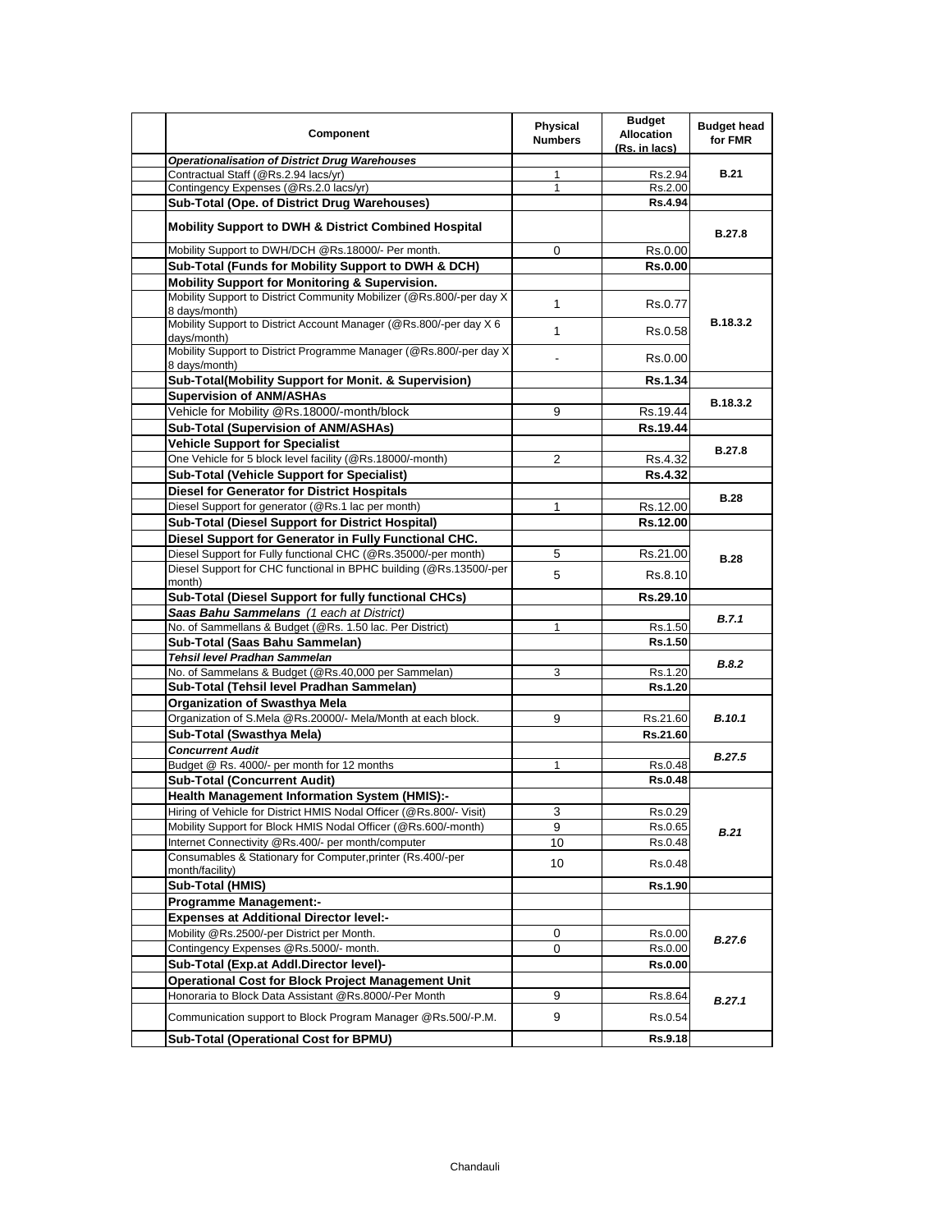| Component                                                                             | Physical<br><b>Numbers</b> | <b>Budget</b><br><b>Allocation</b><br>(Rs. in lacs) | <b>Budget head</b><br>for FMR |
|---------------------------------------------------------------------------------------|----------------------------|-----------------------------------------------------|-------------------------------|
| <b>Operationalisation of District Drug Warehouses</b>                                 |                            |                                                     |                               |
| Contractual Staff (@Rs.2.94 lacs/yr)                                                  | $\mathbf{1}$               | Rs.2.94                                             | <b>B.21</b>                   |
| Contingency Expenses (@Rs.2.0 lacs/yr)                                                | $\mathbf{1}$               | Rs.2.00                                             |                               |
| Sub-Total (Ope. of District Drug Warehouses)                                          |                            | Rs.4.94                                             |                               |
| <b>Mobility Support to DWH &amp; District Combined Hospital</b>                       |                            |                                                     | B.27.8                        |
| Mobility Support to DWH/DCH @Rs.18000/- Per month.                                    | 0                          | Rs.0.00                                             |                               |
| Sub-Total (Funds for Mobility Support to DWH & DCH)                                   |                            | <b>Rs.0.00</b>                                      |                               |
| <b>Mobility Support for Monitoring &amp; Supervision.</b>                             |                            |                                                     |                               |
| Mobility Support to District Community Mobilizer (@Rs.800/-per day X<br>8 days/month) | $\mathbf{1}$               | Rs.0.77                                             |                               |
| Mobility Support to District Account Manager (@Rs.800/-per day X 6<br>days/month)     | $\mathbf{1}$               | Rs.0.58                                             | B.18.3.2                      |
| Mobility Support to District Programme Manager (@Rs.800/-per day X)<br>8 days/month)  | $\overline{\phantom{0}}$   | Rs.0.00                                             |                               |
| Sub-Total(Mobility Support for Monit. & Supervision)                                  |                            | <b>Rs.1.34</b>                                      |                               |
| <b>Supervision of ANM/ASHAs</b>                                                       |                            |                                                     |                               |
| Vehicle for Mobility @Rs.18000/-month/block                                           | 9                          | Rs.19.44                                            | B.18.3.2                      |
| <b>Sub-Total (Supervision of ANM/ASHAs)</b>                                           |                            | Rs.19.44                                            |                               |
| <b>Vehicle Support for Specialist</b>                                                 |                            |                                                     |                               |
| One Vehicle for 5 block level facility (@Rs.18000/-month)                             |                            |                                                     | <b>B.27.8</b>                 |
|                                                                                       | $\overline{2}$             | Rs.4.32                                             |                               |
| <b>Sub-Total (Vehicle Support for Specialist)</b>                                     |                            | <b>Rs.4.32</b>                                      |                               |
| <b>Diesel for Generator for District Hospitals</b>                                    |                            |                                                     | <b>B.28</b>                   |
| Diesel Support for generator (@Rs.1 lac per month)                                    | 1                          | Rs.12.00                                            |                               |
| <b>Sub-Total (Diesel Support for District Hospital)</b>                               |                            | Rs.12.00                                            |                               |
| Diesel Support for Generator in Fully Functional CHC.                                 |                            |                                                     |                               |
| Diesel Support for Fully functional CHC (@Rs.35000/-per month)                        | 5                          | Rs.21.00                                            | <b>B.28</b>                   |
| Diesel Support for CHC functional in BPHC building (@Rs.13500/-per<br>month)          | 5                          | Rs.8.10                                             |                               |
| Sub-Total (Diesel Support for fully functional CHCs)                                  |                            | Rs.29.10                                            |                               |
| Saas Bahu Sammelans (1 each at District)                                              |                            |                                                     |                               |
| No. of Sammellans & Budget (@Rs. 1.50 lac. Per District)                              | 1                          | Rs.1.50                                             | B.7.1                         |
| Sub-Total (Saas Bahu Sammelan)                                                        |                            | Rs.1.50                                             |                               |
| Tehsil level Pradhan Sammelan                                                         |                            |                                                     |                               |
| No. of Sammelans & Budget (@Rs.40,000 per Sammelan)                                   | 3                          | Rs.1.20                                             | <b>B.8.2</b>                  |
| Sub-Total (Tehsil level Pradhan Sammelan)                                             |                            | Rs.1.20                                             |                               |
| <b>Organization of Swasthya Mela</b>                                                  |                            |                                                     |                               |
| Organization of S.Mela @Rs.20000/- Mela/Month at each block.                          | 9                          | Rs.21.60                                            | <b>B.10.1</b>                 |
|                                                                                       |                            | Rs.21.60                                            |                               |
| Sub-Total (Swasthya Mela)                                                             |                            |                                                     |                               |
| <b>Concurrent Audit</b>                                                               | $\mathbf{1}$               |                                                     | <b>B.27.5</b>                 |
| Budget @ Rs. 4000/- per month for 12 months                                           |                            | Rs.0.48                                             |                               |
| Sub-Total (Concurrent Audit)                                                          |                            | <b>Rs.0.48</b>                                      |                               |
| Health Management Information System (HMIS):-                                         |                            |                                                     |                               |
| Hiring of Vehicle for District HMIS Nodal Officer (@Rs.800/- Visit)                   | 3                          | Rs.0.29                                             |                               |
| Mobility Support for Block HMIS Nodal Officer (@Rs.600/-month)                        | 9                          | Rs.0.65                                             | <b>B.21</b>                   |
| Internet Connectivity @Rs.400/- per month/computer                                    | 10                         | Rs.0.48                                             |                               |
| Consumables & Stationary for Computer, printer (Rs.400/-per<br>month/facility)        | 10                         | Rs.0.48                                             |                               |
| Sub-Total (HMIS)                                                                      |                            | <b>Rs.1.90</b>                                      |                               |
| <b>Programme Management:-</b>                                                         |                            |                                                     |                               |
| <b>Expenses at Additional Director level:-</b>                                        |                            |                                                     |                               |
| Mobility @Rs.2500/-per District per Month.                                            | 0                          | Rs.0.00                                             |                               |
| Contingency Expenses @Rs.5000/- month.                                                | 0                          | Rs.0.00                                             | B.27.6                        |
| Sub-Total (Exp.at Addl.Director level)-                                               |                            | <b>Rs.0.00</b>                                      |                               |
| <b>Operational Cost for Block Project Management Unit</b>                             |                            |                                                     |                               |
| Honoraria to Block Data Assistant @Rs.8000/-Per Month                                 |                            |                                                     |                               |
|                                                                                       | 9                          | Rs.8.64                                             | B.27.1                        |
| Communication support to Block Program Manager @Rs.500/-P.M.                          | 9                          | Rs.0.54                                             |                               |
| Sub-Total (Operational Cost for BPMU)                                                 |                            | Rs.9.18                                             |                               |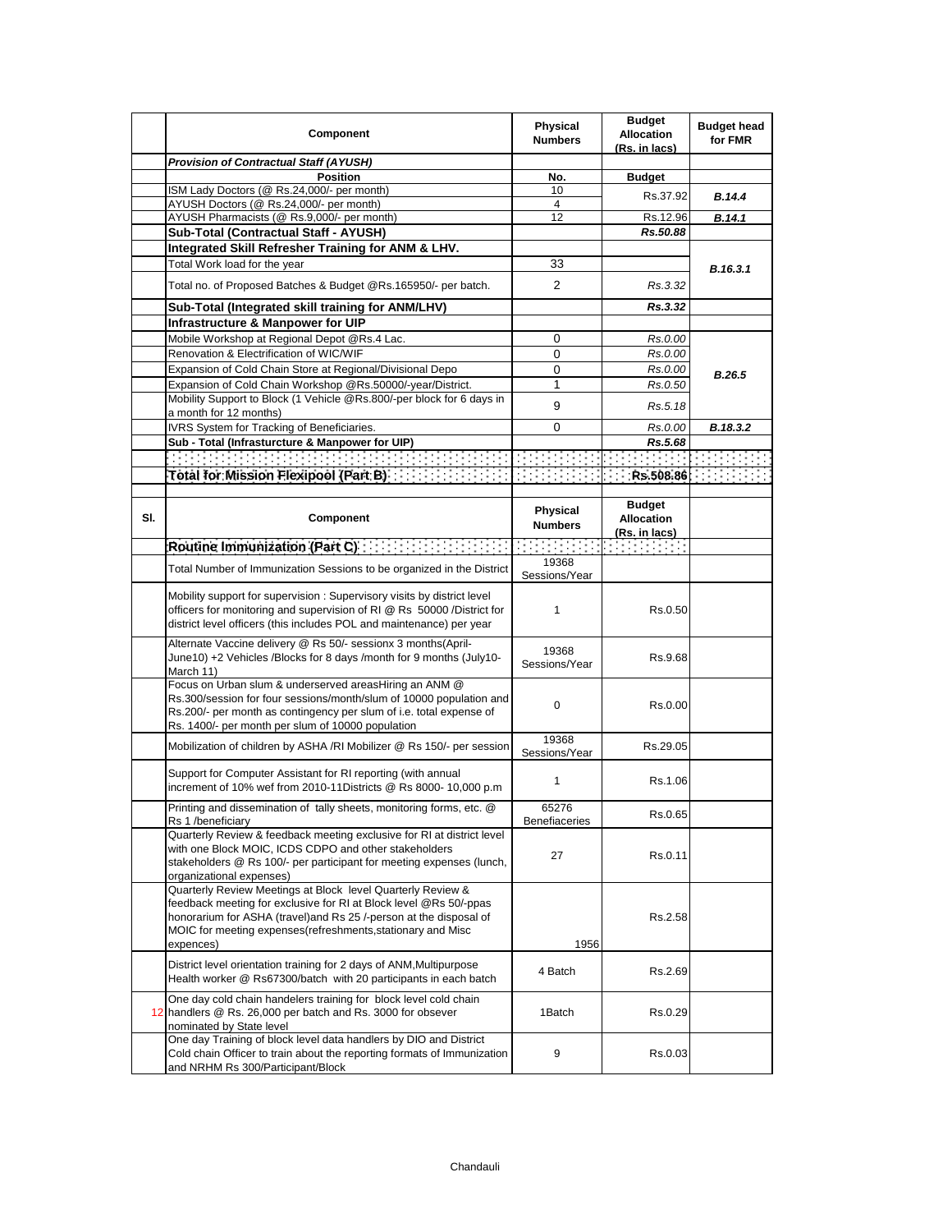|     | Component                                                                                                                                                                                                                                                                           | <b>Physical</b><br><b>Numbers</b> | <b>Budget</b><br><b>Allocation</b><br>(Rs. in lacs) | <b>Budget head</b><br>for FMR |
|-----|-------------------------------------------------------------------------------------------------------------------------------------------------------------------------------------------------------------------------------------------------------------------------------------|-----------------------------------|-----------------------------------------------------|-------------------------------|
|     | <b>Provision of Contractual Staff (AYUSH)</b>                                                                                                                                                                                                                                       |                                   |                                                     |                               |
|     | <b>Position</b>                                                                                                                                                                                                                                                                     | No.                               | <b>Budget</b>                                       |                               |
|     | ISM Lady Doctors (@ Rs.24,000/- per month)                                                                                                                                                                                                                                          | 10                                | Rs.37.92                                            | <b>B.14.4</b>                 |
|     | AYUSH Doctors (@ Rs.24,000/- per month)                                                                                                                                                                                                                                             | 4                                 |                                                     |                               |
|     | AYUSH Pharmacists (@ Rs.9,000/- per month)                                                                                                                                                                                                                                          | 12                                | Rs.12.96                                            | B.14.1                        |
|     | Sub-Total (Contractual Staff - AYUSH)                                                                                                                                                                                                                                               |                                   | Rs.50.88                                            |                               |
|     | Integrated Skill Refresher Training for ANM & LHV.                                                                                                                                                                                                                                  |                                   |                                                     |                               |
|     | Total Work load for the year                                                                                                                                                                                                                                                        | 33                                |                                                     | B.16.3.1                      |
|     | Total no. of Proposed Batches & Budget @Rs.165950/- per batch.                                                                                                                                                                                                                      | $\overline{2}$                    | Rs.3.32                                             |                               |
|     | Sub-Total (Integrated skill training for ANM/LHV)                                                                                                                                                                                                                                   |                                   | Rs.3.32                                             |                               |
|     | <b>Infrastructure &amp; Manpower for UIP</b>                                                                                                                                                                                                                                        |                                   |                                                     |                               |
|     | Mobile Workshop at Regional Depot @Rs.4 Lac.                                                                                                                                                                                                                                        | 0                                 | Rs.0.00                                             |                               |
|     | Renovation & Electrification of WIC/WIF                                                                                                                                                                                                                                             | 0                                 | Rs.0.00                                             |                               |
|     | Expansion of Cold Chain Store at Regional/Divisional Depo                                                                                                                                                                                                                           | 0                                 | Rs.0.00                                             | B.26.5                        |
|     | Expansion of Cold Chain Workshop @Rs.50000/-year/District.                                                                                                                                                                                                                          | 1                                 | Rs.0.50                                             |                               |
|     | Mobility Support to Block (1 Vehicle @Rs.800/-per block for 6 days in                                                                                                                                                                                                               | 9                                 | Rs.5.18                                             |                               |
|     | a month for 12 months)<br>IVRS System for Tracking of Beneficiaries.                                                                                                                                                                                                                | 0                                 |                                                     |                               |
|     | Sub - Total (Infrasturcture & Manpower for UIP)                                                                                                                                                                                                                                     |                                   | Rs.0.00                                             | B.18.3.2                      |
|     |                                                                                                                                                                                                                                                                                     |                                   | Rs.5.68                                             |                               |
|     | a a sa tantara                                                                                                                                                                                                                                                                      |                                   |                                                     |                               |
|     | Total for Mission Flexipool (Part B)                                                                                                                                                                                                                                                |                                   | Rs.508.86                                           |                               |
| SI. | Component                                                                                                                                                                                                                                                                           | <b>Physical</b><br><b>Numbers</b> | <b>Budget</b><br><b>Allocation</b><br>(Rs. in lacs) |                               |
|     | Routine Immunization (Part C) And Charles Inc.                                                                                                                                                                                                                                      |                                   | रविवरप्रवस्तु                                       |                               |
|     | Total Number of Immunization Sessions to be organized in the District                                                                                                                                                                                                               | 19368<br>Sessions/Year            |                                                     |                               |
|     | Mobility support for supervision: Supervisory visits by district level<br>officers for monitoring and supervision of RI @ Rs 50000 /District for<br>district level officers (this includes POL and maintenance) per year                                                            | 1                                 | Rs 0.50                                             |                               |
|     | Alternate Vaccine delivery @ Rs 50/- sessionx 3 months(April-<br>June10) +2 Vehicles /Blocks for 8 days /month for 9 months (July10-<br>March 11)                                                                                                                                   | 19368<br>Sessions/Year            | Rs.9.68                                             |                               |
|     | Focus on Urban slum & underserved areasHiring an ANM @<br>Rs.300/session for four sessions/month/slum of 10000 population and<br>Rs.200/- per month as contingency per slum of i.e. total expense of<br>Rs. 1400/- per month per slum of 10000 population                           | 0                                 | Rs.0.00                                             |                               |
|     | Mobilization of children by ASHA /RI Mobilizer @ Rs 150/- per session                                                                                                                                                                                                               | 19368<br>Sessions/Year            | Rs.29.05                                            |                               |
|     | Support for Computer Assistant for RI reporting (with annual<br>increment of 10% wef from 2010-11Districts @ Rs 8000- 10,000 p.m                                                                                                                                                    | 1                                 | Rs.1.06                                             |                               |
|     | Printing and dissemination of tally sheets, monitoring forms, etc. @<br>Rs 1 /beneficiary                                                                                                                                                                                           | 65276<br>Benefiaceries            | Rs.0.65                                             |                               |
|     | Quarterly Review & feedback meeting exclusive for RI at district level<br>with one Block MOIC, ICDS CDPO and other stakeholders<br>stakeholders @ Rs 100/- per participant for meeting expenses (lunch,<br>organizational expenses)                                                 | 27                                | Rs.0.11                                             |                               |
|     | Quarterly Review Meetings at Block level Quarterly Review &<br>feedback meeting for exclusive for RI at Block level @Rs 50/-ppas<br>honorarium for ASHA (travel) and Rs 25 /-person at the disposal of<br>MOIC for meeting expenses (refreshments, stationary and Misc<br>expences) | 1956                              | Rs.2.58                                             |                               |
|     | District level orientation training for 2 days of ANM, Multipurpose<br>Health worker @ Rs67300/batch with 20 participants in each batch                                                                                                                                             | 4 Batch                           | Rs.2.69                                             |                               |
|     | One day cold chain handelers training for block level cold chain<br>12 handlers @ Rs. 26,000 per batch and Rs. 3000 for obsever<br>nominated by State level                                                                                                                         | 1Batch                            | Rs.0.29                                             |                               |
|     | One day Training of block level data handlers by DIO and District<br>Cold chain Officer to train about the reporting formats of Immunization<br>and NRHM Rs 300/Participant/Block                                                                                                   | 9                                 | Rs.0.03                                             |                               |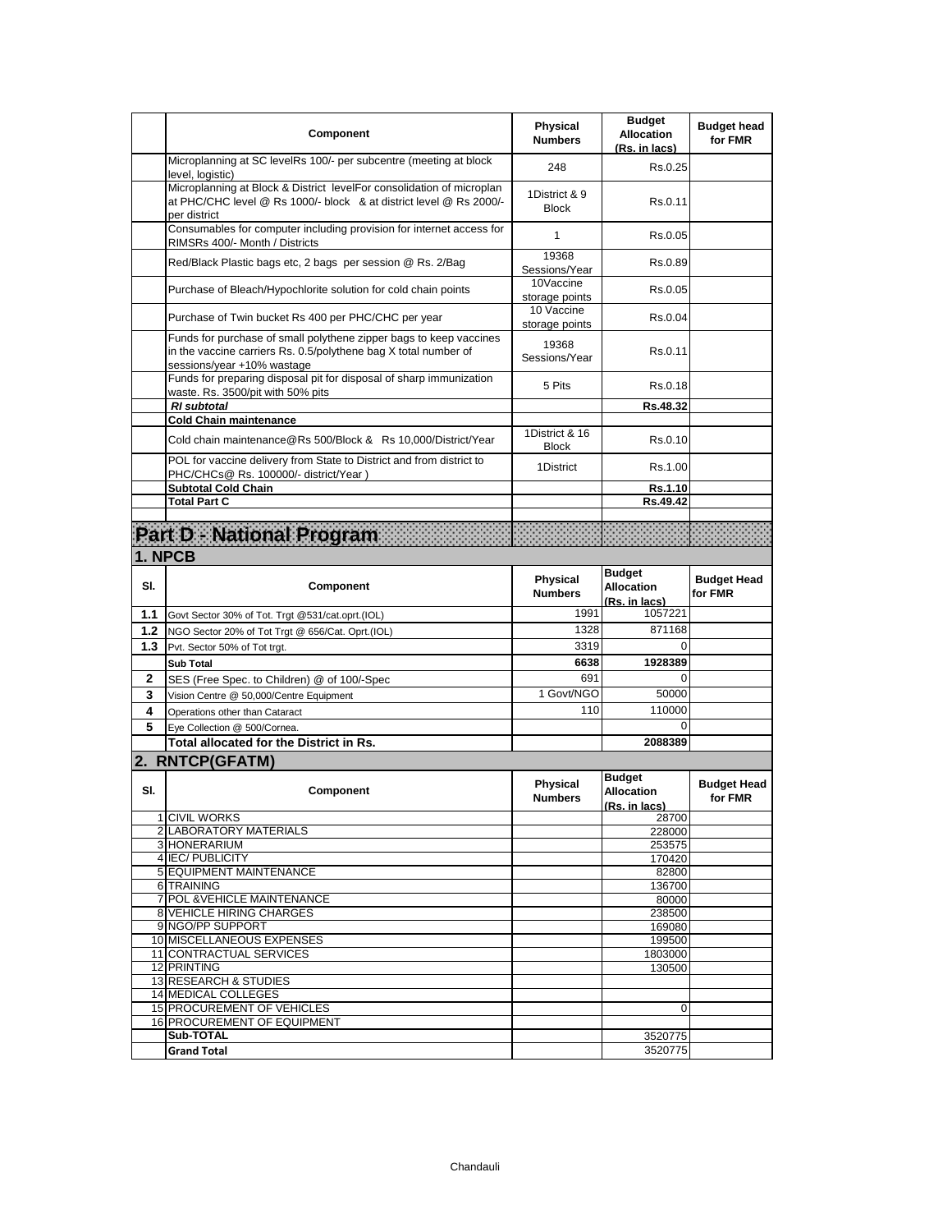|              | Component                                                                                                                                                           | <b>Physical</b><br><b>Numbers</b> | <b>Budget</b><br><b>Allocation</b><br>(Rs. in lacs) | <b>Budget head</b><br>for FMR |
|--------------|---------------------------------------------------------------------------------------------------------------------------------------------------------------------|-----------------------------------|-----------------------------------------------------|-------------------------------|
|              | Microplanning at SC levelRs 100/- per subcentre (meeting at block<br>level, logistic)                                                                               | 248                               | Rs 0.25                                             |                               |
|              | Microplanning at Block & District levelFor consolidation of microplan<br>at PHC/CHC level @ Rs 1000/- block & at district level @ Rs 2000/-<br>per district         | 1District & 9<br><b>Block</b>     | Rs.0.11                                             |                               |
|              | Consumables for computer including provision for internet access for<br>RIMSRs 400/- Month / Districts                                                              | $\mathbf{1}$                      | Rs.0.05                                             |                               |
|              | Red/Black Plastic bags etc, 2 bags per session @ Rs. 2/Bag                                                                                                          | 19368<br>Sessions/Year            | Rs.0.89                                             |                               |
|              | Purchase of Bleach/Hypochlorite solution for cold chain points                                                                                                      | 10Vaccine<br>storage points       | Rs 0.05                                             |                               |
|              | Purchase of Twin bucket Rs 400 per PHC/CHC per year                                                                                                                 | 10 Vaccine<br>storage points      | Rs.0.04                                             |                               |
|              | Funds for purchase of small polythene zipper bags to keep vaccines<br>in the vaccine carriers Rs. 0.5/polythene bag X total number of<br>sessions/year +10% wastage | 19368<br>Sessions/Year            | Rs.0.11                                             |                               |
|              | Funds for preparing disposal pit for disposal of sharp immunization<br>waste. Rs. 3500/pit with 50% pits                                                            | 5 Pits                            | Rs 0.18                                             |                               |
|              | <b>RI</b> subtotal                                                                                                                                                  |                                   | Rs.48.32                                            |                               |
|              | <b>Cold Chain maintenance</b>                                                                                                                                       | 1District & 16                    |                                                     |                               |
|              | Cold chain maintenance@Rs 500/Block & Rs 10,000/District/Year<br>POL for vaccine delivery from State to District and from district to                               | <b>Block</b>                      | Rs.0.10                                             |                               |
|              | PHC/CHCs@ Rs. 100000/- district/Year)                                                                                                                               | 1District                         | Rs.1.00                                             |                               |
|              | <b>Subtotal Cold Chain</b><br><b>Total Part C</b>                                                                                                                   |                                   | Rs.1.10<br>Rs.49.42                                 |                               |
|              |                                                                                                                                                                     |                                   |                                                     |                               |
|              | Part D National Program                                                                                                                                             |                                   |                                                     |                               |
|              | 1. NPCB                                                                                                                                                             |                                   |                                                     |                               |
| SI.          | Component                                                                                                                                                           | <b>Physical</b><br><b>Numbers</b> | <b>Budget</b><br><b>Allocation</b><br>(Rs. in lacs) | <b>Budget Head</b><br>for FMR |
| 1.1          | Govt Sector 30% of Tot. Trgt @531/cat.oprt.(IOL)                                                                                                                    | 1991                              | 1057221                                             |                               |
| 1.2          | NGO Sector 20% of Tot Trgt @ 656/Cat. Oprt.(IOL)                                                                                                                    | 1328                              | 871168                                              |                               |
| 1.3          | Pvt. Sector 50% of Tot trgt.                                                                                                                                        | 3319                              | 0                                                   |                               |
|              | <b>Sub Total</b>                                                                                                                                                    | 6638                              | 1928389                                             |                               |
| $\mathbf{2}$ | SES (Free Spec. to Children) @ of 100/-Spec                                                                                                                         | 691                               | $\Omega$                                            |                               |
| 3            | Vision Centre @ 50,000/Centre Equipment                                                                                                                             | 1 Govt/NGO                        | 50000                                               |                               |
| 4            | Operations other than Cataract                                                                                                                                      | 110                               | 110000                                              |                               |
| 5            | Eye Collection @ 500/Cornea.                                                                                                                                        |                                   | 0                                                   |                               |
|              | <b>Total allocated for the District in Rs.</b>                                                                                                                      |                                   | 2088389                                             |                               |
|              | 2. RNTCP(GFATM)                                                                                                                                                     |                                   |                                                     |                               |
| SI.          | Component                                                                                                                                                           | <b>Physical</b><br><b>Numbers</b> | <b>Budget</b><br><b>Allocation</b><br>(Rs. in lacs) | <b>Budget Head</b><br>for FMR |
|              | 1 CIVIL WORKS                                                                                                                                                       |                                   | 28700<br>228000                                     |                               |
|              | 2 LABORATORY MATERIALS<br>3 HONERARIUM                                                                                                                              |                                   | 253575                                              |                               |
|              | 4 IEC/PUBLICITY                                                                                                                                                     |                                   | 170420                                              |                               |
|              | 5 EQUIPMENT MAINTENANCE                                                                                                                                             |                                   | 82800                                               |                               |
|              | 6 TRAINING                                                                                                                                                          |                                   | 136700                                              |                               |
|              | 7 POL & VEHICLE MAINTENANCE<br>8 VEHICLE HIRING CHARGES                                                                                                             |                                   | 80000<br>238500                                     |                               |
|              | 9 NGO/PP SUPPORT                                                                                                                                                    |                                   | 169080                                              |                               |
|              | 10 MISCELLANEOUS EXPENSES                                                                                                                                           |                                   | 199500                                              |                               |
|              | 11 CONTRACTUAL SERVICES                                                                                                                                             |                                   | 1803000                                             |                               |
|              | 12 PRINTING                                                                                                                                                         |                                   | 130500                                              |                               |
|              | 13 RESEARCH & STUDIES<br><b>14 MEDICAL COLLEGES</b>                                                                                                                 |                                   |                                                     |                               |
|              | 15 PROCUREMENT OF VEHICLES                                                                                                                                          |                                   | $\mathbf 0$                                         |                               |
|              |                                                                                                                                                                     |                                   |                                                     |                               |
|              | 16 PROCUREMENT OF EQUIPMENT                                                                                                                                         |                                   |                                                     |                               |
|              | Sub-TOTAL                                                                                                                                                           |                                   | 3520775<br>3520775                                  |                               |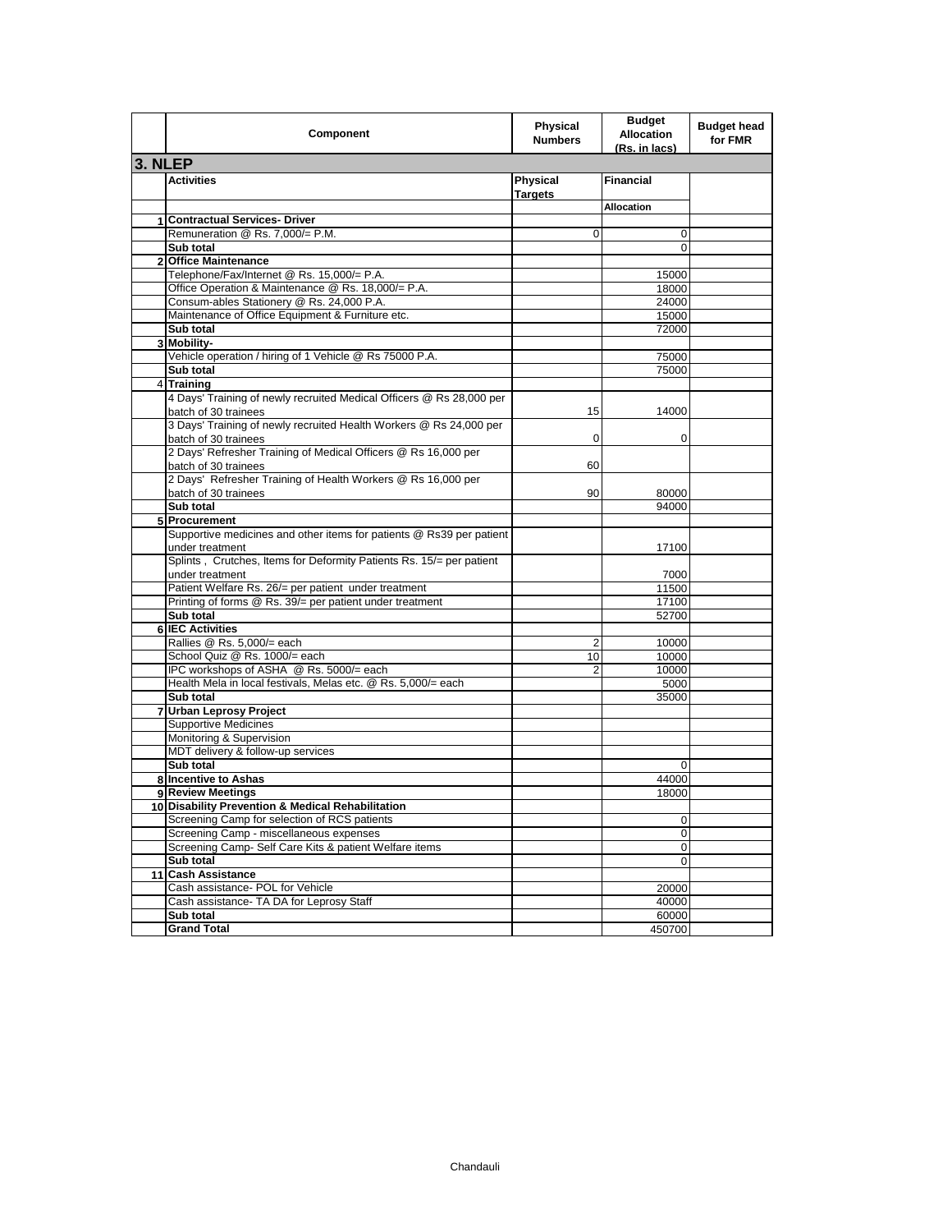|                | Component                                                                                    | <b>Physical</b><br><b>Numbers</b> | <b>Budget</b><br><b>Allocation</b><br>(Rs. in lacs) | <b>Budget head</b><br>for FMR |
|----------------|----------------------------------------------------------------------------------------------|-----------------------------------|-----------------------------------------------------|-------------------------------|
| 3. NLEP        |                                                                                              |                                   |                                                     |                               |
|                | <b>Activities</b>                                                                            | Physical<br><b>Targets</b>        | <b>Financial</b>                                    |                               |
|                |                                                                                              |                                   | <b>Allocation</b>                                   |                               |
| 1              | <b>Contractual Services- Driver</b>                                                          |                                   |                                                     |                               |
|                | Remuneration @ Rs. 7,000/= P.M.                                                              | 0                                 | 0                                                   |                               |
|                | Sub total                                                                                    |                                   | 0                                                   |                               |
| $\overline{2}$ | <b>Office Maintenance</b>                                                                    |                                   |                                                     |                               |
|                | Telephone/Fax/Internet @ Rs. 15,000/= P.A.                                                   |                                   | 15000                                               |                               |
|                | Office Operation & Maintenance @ Rs. 18,000/= P.A.                                           |                                   | 18000                                               |                               |
|                | Consum-ables Stationery @ Rs. 24,000 P.A.                                                    |                                   | 24000                                               |                               |
|                | Maintenance of Office Equipment & Furniture etc.                                             |                                   | 15000                                               |                               |
|                | Sub total                                                                                    |                                   | 72000                                               |                               |
|                | 3 Mobility-                                                                                  |                                   |                                                     |                               |
|                | Vehicle operation / hiring of 1 Vehicle @ Rs 75000 P.A.                                      |                                   | 75000                                               |                               |
|                | Sub total                                                                                    |                                   | 75000                                               |                               |
| $\overline{4}$ | <b>Training</b>                                                                              |                                   |                                                     |                               |
|                | 4 Days' Training of newly recruited Medical Officers @ Rs 28,000 per<br>batch of 30 trainees | 15                                | 14000                                               |                               |
|                | 3 Days' Training of newly recruited Health Workers @ Rs 24,000 per<br>batch of 30 trainees   | 0                                 | $\mathbf 0$                                         |                               |
|                | 2 Days' Refresher Training of Medical Officers @ Rs 16,000 per<br>batch of 30 trainees       | 60                                |                                                     |                               |
|                | 2 Days' Refresher Training of Health Workers @ Rs 16,000 per                                 |                                   |                                                     |                               |
|                | batch of 30 trainees                                                                         | 90                                | 80000                                               |                               |
|                | Sub total                                                                                    |                                   | 94000                                               |                               |
|                | 5 Procurement                                                                                |                                   |                                                     |                               |
|                | Supportive medicines and other items for patients @ Rs39 per patient<br>under treatment      |                                   | 17100                                               |                               |
|                | Splints, Crutches, Items for Deformity Patients Rs. 15/= per patient<br>under treatment      |                                   | 7000                                                |                               |
|                | Patient Welfare Rs. 26/= per patient under treatment                                         |                                   | 11500                                               |                               |
|                | Printing of forms @ Rs. 39/= per patient under treatment                                     |                                   | 17100                                               |                               |
|                | Sub total                                                                                    |                                   | 52700                                               |                               |
|                | 6 IEC Activities                                                                             |                                   |                                                     |                               |
|                | Rallies @ Rs. 5,000/= each                                                                   | 2                                 | 10000                                               |                               |
|                | School Quiz @ Rs. 1000/= each                                                                | 10                                | 10000                                               |                               |
|                | IPC workshops of ASHA @ Rs. 5000/= each                                                      | 2                                 | 10000                                               |                               |
|                | Health Mela in local festivals, Melas etc. @ Rs. 5,000/= each                                |                                   | 5000                                                |                               |
|                | Sub total                                                                                    |                                   | 35000                                               |                               |
| $\overline{7}$ | <b>Urban Leprosy Project</b>                                                                 |                                   |                                                     |                               |
|                | <b>Supportive Medicines</b>                                                                  |                                   |                                                     |                               |
|                | Monitoring & Supervision                                                                     |                                   |                                                     |                               |
|                | MDT delivery & follow-up services                                                            |                                   |                                                     |                               |
|                | Sub total                                                                                    |                                   | $\mathbf 0$                                         |                               |
|                | 8 Incentive to Ashas                                                                         |                                   | 44000                                               |                               |
|                | 9 Review Meetings                                                                            |                                   | 18000                                               |                               |
|                | 10 Disability Prevention & Medical Rehabilitation                                            |                                   |                                                     |                               |
|                | Screening Camp for selection of RCS patients                                                 |                                   | 0                                                   |                               |
|                | Screening Camp - miscellaneous expenses                                                      |                                   | 0                                                   |                               |
|                | Screening Camp- Self Care Kits & patient Welfare items                                       |                                   | 0                                                   |                               |
|                | Sub total                                                                                    |                                   | 0                                                   |                               |
| 11             | <b>Cash Assistance</b>                                                                       |                                   |                                                     |                               |
|                | Cash assistance- POL for Vehicle                                                             |                                   | 20000                                               |                               |
|                | Cash assistance- TA DA for Leprosy Staff                                                     |                                   | 40000                                               |                               |
|                | Sub total                                                                                    |                                   | 60000                                               |                               |
|                | <b>Grand Total</b>                                                                           |                                   | 450700                                              |                               |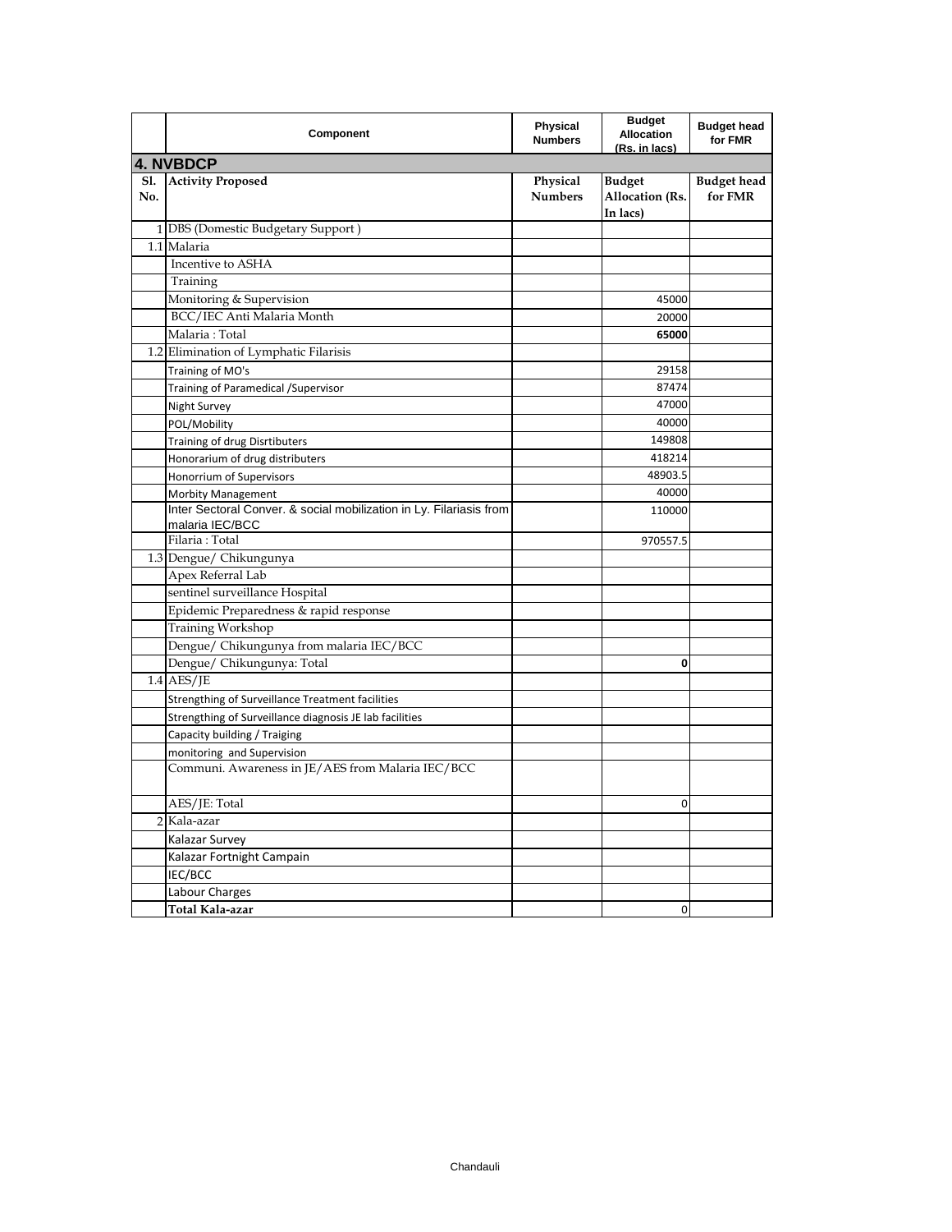|                   | Component                                                                              | Physical<br><b>Numbers</b> | <b>Budget</b><br><b>Allocation</b><br>(Rs. in lacs) | <b>Budget head</b><br>for FMR |
|-------------------|----------------------------------------------------------------------------------------|----------------------------|-----------------------------------------------------|-------------------------------|
|                   | <b>4. NVBDCP</b>                                                                       |                            |                                                     |                               |
| <b>S1.</b><br>No. | <b>Activity Proposed</b>                                                               | Physical<br><b>Numbers</b> | <b>Budget</b><br><b>Allocation</b> (Rs.<br>In lacs) | <b>Budget head</b><br>for FMR |
|                   | 1 DBS (Domestic Budgetary Support)                                                     |                            |                                                     |                               |
|                   | 1.1 Malaria                                                                            |                            |                                                     |                               |
|                   | Incentive to ASHA                                                                      |                            |                                                     |                               |
|                   | Training                                                                               |                            |                                                     |                               |
|                   | Monitoring & Supervision                                                               |                            | 45000                                               |                               |
|                   | BCC/IEC Anti Malaria Month                                                             |                            | 20000                                               |                               |
|                   | Malaria: Total                                                                         |                            | 65000                                               |                               |
|                   | 1.2 Elimination of Lymphatic Filarisis                                                 |                            |                                                     |                               |
|                   | Training of MO's                                                                       |                            | 29158                                               |                               |
|                   | Training of Paramedical /Supervisor                                                    |                            | 87474                                               |                               |
|                   | Night Survey                                                                           |                            | 47000                                               |                               |
|                   | POL/Mobility                                                                           |                            | 40000                                               |                               |
|                   | Training of drug Disrtibuters                                                          |                            | 149808                                              |                               |
|                   | Honorarium of drug distributers                                                        |                            | 418214                                              |                               |
|                   | Honorrium of Supervisors                                                               |                            | 48903.5                                             |                               |
|                   | <b>Morbity Management</b>                                                              |                            | 40000                                               |                               |
|                   | Inter Sectoral Conver. & social mobilization in Ly. Filariasis from<br>malaria IEC/BCC |                            | 110000                                              |                               |
|                   | Filaria: Total                                                                         |                            | 970557.5                                            |                               |
|                   | 1.3 Dengue/ Chikungunya                                                                |                            |                                                     |                               |
|                   | Apex Referral Lab                                                                      |                            |                                                     |                               |
|                   | sentinel surveillance Hospital                                                         |                            |                                                     |                               |
|                   | Epidemic Preparedness & rapid response                                                 |                            |                                                     |                               |
|                   | Training Workshop                                                                      |                            |                                                     |                               |
|                   | Dengue/ Chikungunya from malaria IEC/BCC                                               |                            |                                                     |                               |
|                   | Dengue/ Chikungunya: Total                                                             |                            | 0                                                   |                               |
|                   | $1.4$ AES/JE                                                                           |                            |                                                     |                               |
|                   | Strengthing of Surveillance Treatment facilities                                       |                            |                                                     |                               |
|                   | Strengthing of Surveillance diagnosis JE lab facilities                                |                            |                                                     |                               |
|                   | Capacity building / Traiging                                                           |                            |                                                     |                               |
|                   | monitoring and Supervision                                                             |                            |                                                     |                               |
|                   | Communi. Awareness in JE/AES from Malaria IEC/BCC                                      |                            |                                                     |                               |
|                   | AES/JE: Total                                                                          |                            | $\mathbf 0$                                         |                               |
|                   | 2 Kala-azar                                                                            |                            |                                                     |                               |
|                   | Kalazar Survey                                                                         |                            |                                                     |                               |
|                   | Kalazar Fortnight Campain                                                              |                            |                                                     |                               |
|                   | IEC/BCC                                                                                |                            |                                                     |                               |
|                   | Labour Charges                                                                         |                            |                                                     |                               |
|                   | Total Kala-azar                                                                        |                            | $\mathbf 0$                                         |                               |